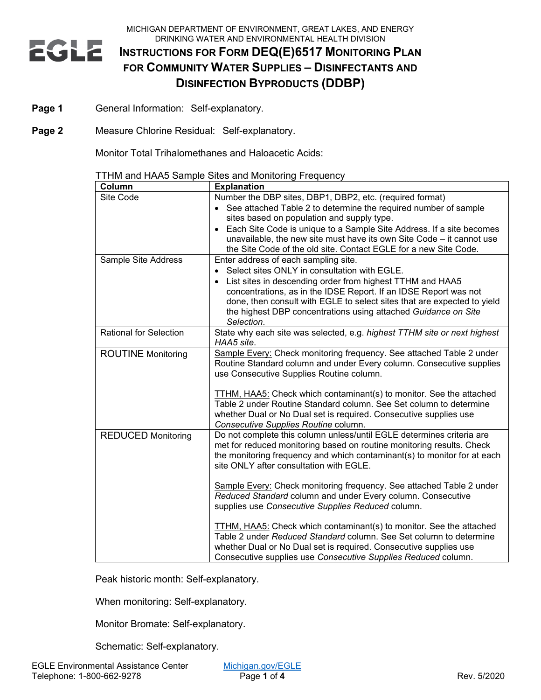MICHIGAN DEPARTMENT OF ENVIRONMENT, GREAT LAKES, AND ENERGY DRINKING WATER AND ENVIRONMENTAL HEALTH DIVISION

# **EGLE INSTRUCTIONS FOR FORM DEQ(E)6517 MONITORING PLAN FOR COMMUNITY WATER SUPPLIES – DISINFECTANTS AND DISINFECTION BYPRODUCTS (DDBP)**

- Page 1 General Information: Self-explanatory.
- **Page 2** Measure Chlorine Residual: Self-explanatory.

Monitor Total Trihalomethanes and Haloacetic Acids:

| Column                        | <b>Explanation</b>                                                                                                                        |
|-------------------------------|-------------------------------------------------------------------------------------------------------------------------------------------|
| Site Code                     | Number the DBP sites, DBP1, DBP2, etc. (required format)                                                                                  |
|                               | • See attached Table 2 to determine the required number of sample                                                                         |
|                               | sites based on population and supply type.                                                                                                |
|                               | Each Site Code is unique to a Sample Site Address. If a site becomes<br>$\bullet$                                                         |
|                               | unavailable, the new site must have its own Site Code – it cannot use                                                                     |
|                               | the Site Code of the old site. Contact EGLE for a new Site Code.                                                                          |
| Sample Site Address           | Enter address of each sampling site.                                                                                                      |
|                               | Select sites ONLY in consultation with EGLE.<br>$\bullet$                                                                                 |
|                               | List sites in descending order from highest TTHM and HAA5<br>$\bullet$                                                                    |
|                               | concentrations, as in the IDSE Report. If an IDSE Report was not                                                                          |
|                               | done, then consult with EGLE to select sites that are expected to yield<br>the highest DBP concentrations using attached Guidance on Site |
|                               | Selection.                                                                                                                                |
| <b>Rational for Selection</b> | State why each site was selected, e.g. highest TTHM site or next highest                                                                  |
|                               | HAA5 site.                                                                                                                                |
| <b>ROUTINE Monitoring</b>     | Sample Every: Check monitoring frequency. See attached Table 2 under                                                                      |
|                               | Routine Standard column and under Every column. Consecutive supplies                                                                      |
|                               | use Consecutive Supplies Routine column.                                                                                                  |
|                               | TTHM, HAA5: Check which contaminant(s) to monitor. See the attached                                                                       |
|                               | Table 2 under Routine Standard column. See Set column to determine                                                                        |
|                               | whether Dual or No Dual set is required. Consecutive supplies use                                                                         |
|                               | Consecutive Supplies Routine column.                                                                                                      |
| <b>REDUCED Monitoring</b>     | Do not complete this column unless/until EGLE determines criteria are                                                                     |
|                               | met for reduced monitoring based on routine monitoring results. Check                                                                     |
|                               | the monitoring frequency and which contaminant(s) to monitor for at each                                                                  |
|                               | site ONLY after consultation with EGLE.                                                                                                   |
|                               | Sample Every: Check monitoring frequency. See attached Table 2 under                                                                      |
|                               | Reduced Standard column and under Every column. Consecutive                                                                               |
|                               | supplies use Consecutive Supplies Reduced column.                                                                                         |
|                               | TTHM, HAA5: Check which contaminant(s) to monitor. See the attached                                                                       |
|                               | Table 2 under Reduced Standard column. See Set column to determine                                                                        |
|                               | whether Dual or No Dual set is required. Consecutive supplies use                                                                         |
|                               | Consecutive supplies use Consecutive Supplies Reduced column.                                                                             |

TTHM and HAA5 Sample Sites and Monitoring Frequency

Peak historic month: Self-explanatory.

When monitoring: Self-explanatory.

Monitor Bromate: Self-explanatory.

Schematic: Self-explanatory.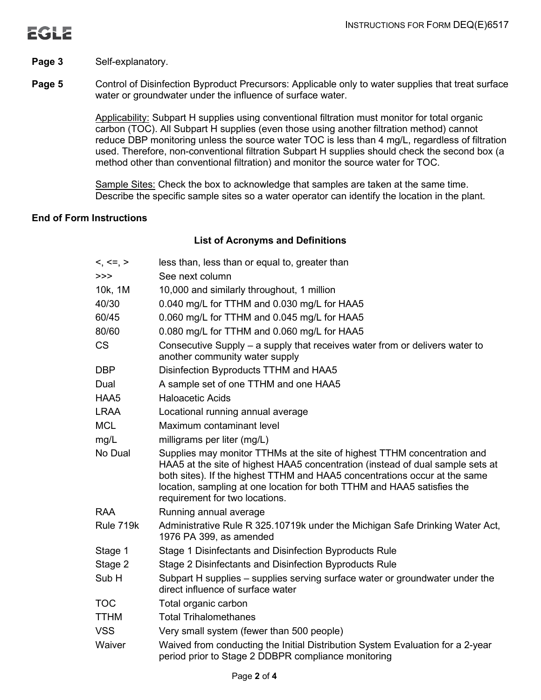

### Page 3 Self-explanatory.

**Page 5** Control of Disinfection Byproduct Precursors: Applicable only to water supplies that treat surface water or groundwater under the influence of surface water.

> Applicability: Subpart H supplies using conventional filtration must monitor for total organic carbon (TOC). All Subpart H supplies (even those using another filtration method) cannot reduce DBP monitoring unless the source water TOC is less than 4 mg/L, regardless of filtration used. Therefore, non-conventional filtration Subpart H supplies should check the second box (a method other than conventional filtration) and monitor the source water for TOC.

Sample Sites: Check the box to acknowledge that samples are taken at the same time. Describe the specific sample sites so a water operator can identify the location in the plant.

### **End of Form Instructions**

### **List of Acronyms and Definitions**

| $<, \le, >$      | less than, less than or equal to, greater than                                                                                                                                                                                                                                                                                                        |
|------------------|-------------------------------------------------------------------------------------------------------------------------------------------------------------------------------------------------------------------------------------------------------------------------------------------------------------------------------------------------------|
| >>               | See next column                                                                                                                                                                                                                                                                                                                                       |
| 10k, 1M          | 10,000 and similarly throughout, 1 million                                                                                                                                                                                                                                                                                                            |
| 40/30            | 0.040 mg/L for TTHM and 0.030 mg/L for HAA5                                                                                                                                                                                                                                                                                                           |
| 60/45            | 0.060 mg/L for TTHM and 0.045 mg/L for HAA5                                                                                                                                                                                                                                                                                                           |
| 80/60            | 0.080 mg/L for TTHM and 0.060 mg/L for HAA5                                                                                                                                                                                                                                                                                                           |
| <b>CS</b>        | Consecutive Supply – a supply that receives water from or delivers water to<br>another community water supply                                                                                                                                                                                                                                         |
| <b>DBP</b>       | Disinfection Byproducts TTHM and HAA5                                                                                                                                                                                                                                                                                                                 |
| Dual             | A sample set of one TTHM and one HAA5                                                                                                                                                                                                                                                                                                                 |
| HAA5             | <b>Haloacetic Acids</b>                                                                                                                                                                                                                                                                                                                               |
| <b>LRAA</b>      | Locational running annual average                                                                                                                                                                                                                                                                                                                     |
| <b>MCL</b>       | Maximum contaminant level                                                                                                                                                                                                                                                                                                                             |
| mg/L             | milligrams per liter (mg/L)                                                                                                                                                                                                                                                                                                                           |
| No Dual          | Supplies may monitor TTHMs at the site of highest TTHM concentration and<br>HAA5 at the site of highest HAA5 concentration (instead of dual sample sets at<br>both sites). If the highest TTHM and HAA5 concentrations occur at the same<br>location, sampling at one location for both TTHM and HAA5 satisfies the<br>requirement for two locations. |
| <b>RAA</b>       | Running annual average                                                                                                                                                                                                                                                                                                                                |
| Rule 719k        | Administrative Rule R 325.10719k under the Michigan Safe Drinking Water Act,<br>1976 PA 399, as amended                                                                                                                                                                                                                                               |
| Stage 1          | Stage 1 Disinfectants and Disinfection Byproducts Rule                                                                                                                                                                                                                                                                                                |
| Stage 2          | Stage 2 Disinfectants and Disinfection Byproducts Rule                                                                                                                                                                                                                                                                                                |
| Sub <sub>H</sub> | Subpart H supplies – supplies serving surface water or groundwater under the<br>direct influence of surface water                                                                                                                                                                                                                                     |
| <b>TOC</b>       | Total organic carbon                                                                                                                                                                                                                                                                                                                                  |
| <b>TTHM</b>      | <b>Total Trihalomethanes</b>                                                                                                                                                                                                                                                                                                                          |
| <b>VSS</b>       | Very small system (fewer than 500 people)                                                                                                                                                                                                                                                                                                             |
| Waiver           | Waived from conducting the Initial Distribution System Evaluation for a 2-year<br>period prior to Stage 2 DDBPR compliance monitoring                                                                                                                                                                                                                 |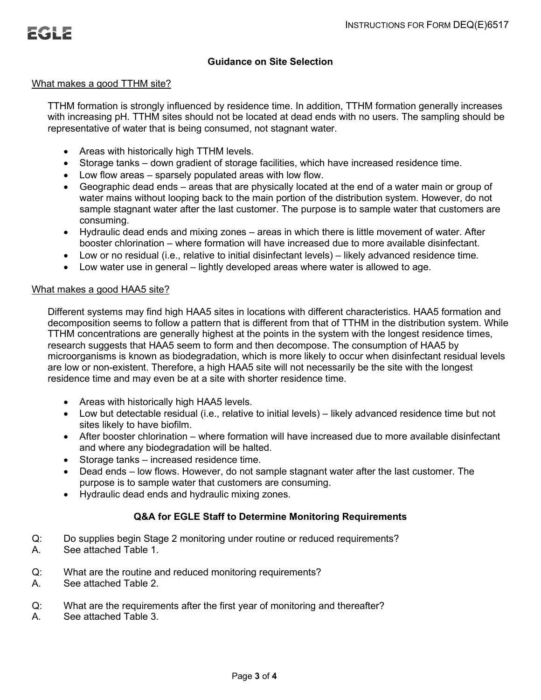### **Guidance on Site Selection**

#### What makes a good TTHM site?

TTHM formation is strongly influenced by residence time. In addition, TTHM formation generally increases with increasing pH. TTHM sites should not be located at dead ends with no users. The sampling should be representative of water that is being consumed, not stagnant water.

- Areas with historically high TTHM levels.
- Storage tanks down gradient of storage facilities, which have increased residence time.
- Low flow areas sparsely populated areas with low flow.
- Geographic dead ends areas that are physically located at the end of a water main or group of water mains without looping back to the main portion of the distribution system. However, do not sample stagnant water after the last customer. The purpose is to sample water that customers are consuming.
- Hydraulic dead ends and mixing zones areas in which there is little movement of water. After booster chlorination – where formation will have increased due to more available disinfectant.
- Low or no residual (i.e., relative to initial disinfectant levels) likely advanced residence time.
- Low water use in general lightly developed areas where water is allowed to age.

### What makes a good HAA5 site?

Different systems may find high HAA5 sites in locations with different characteristics. HAA5 formation and decomposition seems to follow a pattern that is different from that of TTHM in the distribution system. While TTHM concentrations are generally highest at the points in the system with the longest residence times, research suggests that HAA5 seem to form and then decompose. The consumption of HAA5 by microorganisms is known as biodegradation, which is more likely to occur when disinfectant residual levels are low or non-existent. Therefore, a high HAA5 site will not necessarily be the site with the longest residence time and may even be at a site with shorter residence time.

- Areas with historically high HAA5 levels.
- Low but detectable residual (i.e., relative to initial levels) likely advanced residence time but not sites likely to have biofilm.
- After booster chlorination where formation will have increased due to more available disinfectant and where any biodegradation will be halted.
- Storage tanks increased residence time.
- Dead ends low flows. However, do not sample stagnant water after the last customer. The purpose is to sample water that customers are consuming.
- Hydraulic dead ends and hydraulic mixing zones.

## **Q&A for EGLE Staff to Determine Monitoring Requirements**

- Q: Do supplies begin Stage 2 monitoring under routine or reduced requirements?<br>A. See attached Table 1.
- See attached Table 1.
- Q: What are the routine and reduced monitoring requirements?
- A. See attached Table 2.
- Q: What are the requirements after the first year of monitoring and thereafter?
- A. See attached Table 3.